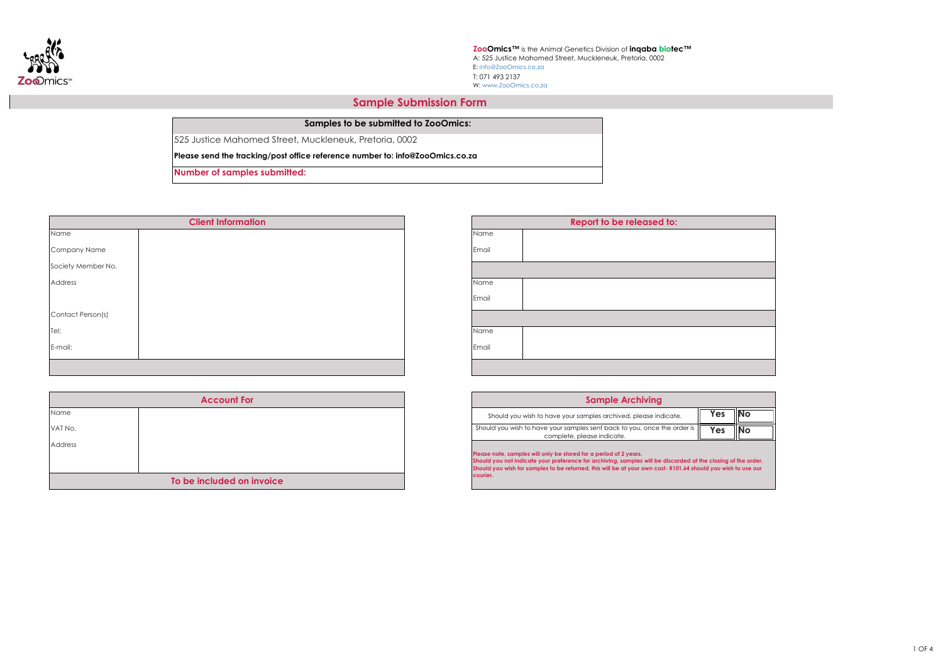

| <b>Report to be released to:</b> |  |
|----------------------------------|--|
|                                  |  |
|                                  |  |
|                                  |  |
|                                  |  |
|                                  |  |
|                                  |  |
|                                  |  |
|                                  |  |
|                                  |  |
|                                  |  |
|                                  |  |
|                                  |  |

**Samples to be submitted to ZooOmics:**

525 Justice Mahomed Street, Muckleneuk, Pretoria, 0002

**Please send the tracking/post office reference number to: info@ZooOmics.co.za** 

**Number of samples submitted:** 

| Name               |  | Name  |
|--------------------|--|-------|
| Company Name       |  | Email |
| Society Member No. |  |       |
| Address            |  | Name  |
|                    |  | Email |
| Contact Person(s)  |  |       |
| Tel:               |  | Name  |
| E-mail:            |  | Email |
|                    |  |       |

**Please note, samples will only be stored for a period of 2 years. Should you not indicate your preference for archiving, samples will be discarded at the closing of the order. Should you wish for samples to be returned, this will be at your own cost- R101.64 should you wish to use our** 

| <b>Sample Archiving</b>                                                                                                 |     |    |  |  |  |  |
|-------------------------------------------------------------------------------------------------------------------------|-----|----|--|--|--|--|
| Should you wish to have your samples archived, please indicate.                                                         | Yes | NO |  |  |  |  |
| Should you wish to have your samples sent back to you, once the order is $\vert \vert$<br>complete, please indicate.    | Yes | NO |  |  |  |  |
| <b>IN</b> the contract of the contract of the contract the contract of the contract of $\Lambda$ and contract $\Lambda$ |     |    |  |  |  |  |

W: www.ZooOmics.co.za A: 525 Justice Mahomed Street, Muckleneuk, Pretoria, 0002 **ZooOmics™** is the Animal Genetics Division of **inqaba biotec™** E: info@ZooOmics.co.za



**courier.**

| <b>Account For</b>        |  |  |  |  |  |
|---------------------------|--|--|--|--|--|
| Name                      |  |  |  |  |  |
| VAT No.                   |  |  |  |  |  |
| <b>Address</b>            |  |  |  |  |  |
|                           |  |  |  |  |  |
| To be included on invoice |  |  |  |  |  |

## **Sample Submission Form**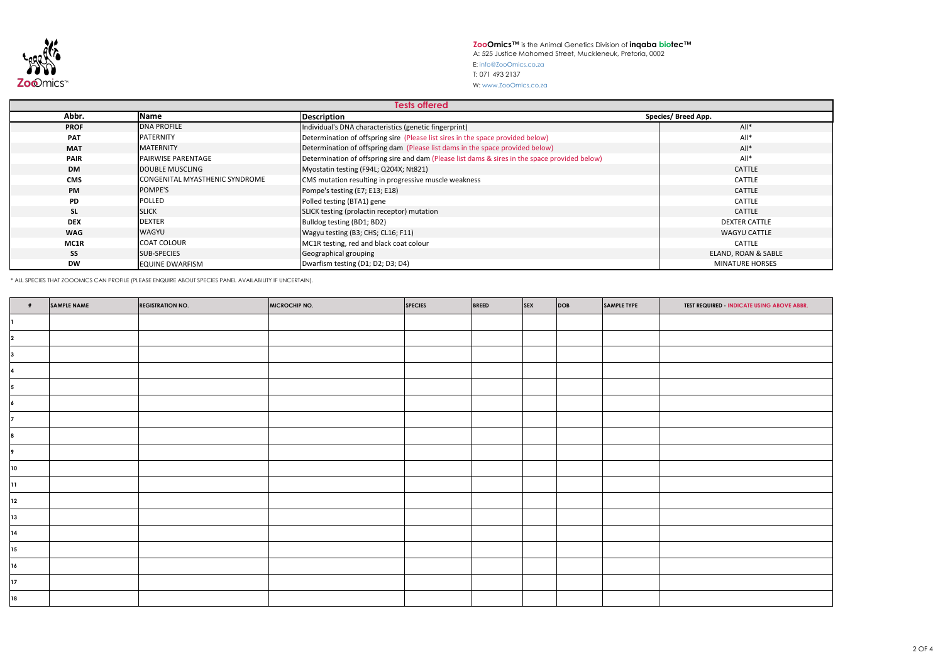## **ZooOmics™** is the Animal Genetics Division of **inqaba biotec™** A: 525 Justice Mahomed Street, Muckleneuk, Pretoria, 0002 E: info@ZooOmics.co.za



W: www.ZooOmics.co.za

| <b>Tests offered</b> |                                       |                                                                                                |                            |  |  |  |
|----------------------|---------------------------------------|------------------------------------------------------------------------------------------------|----------------------------|--|--|--|
| Abbr.                | <b>Name</b>                           | Description                                                                                    | <b>Species/ Breed App.</b> |  |  |  |
| <b>PROF</b>          | <b>DNA PROFILE</b>                    | Individual's DNA characteristics (genetic fingerprint)                                         | $All*$                     |  |  |  |
| <b>PAT</b>           | PATERNITY                             | Determination of offspring sire (Please list sires in the space provided below)                | $All*$                     |  |  |  |
| <b>MAT</b>           | <b>MATERNITY</b>                      | Determination of offspring dam (Please list dams in the space provided below)                  | $All*$                     |  |  |  |
| <b>PAIR</b>          | <b>PAIRWISE PARENTAGE</b>             | Determination of offspring sire and dam (Please list dams & sires in the space provided below) | $All*$                     |  |  |  |
| <b>DM</b>            | <b>DOUBLE MUSCLING</b>                | Myostatin testing (F94L; Q204X; Nt821)                                                         | <b>CATTLE</b>              |  |  |  |
| <b>CMS</b>           | <b>CONGENITAL MYASTHENIC SYNDROME</b> | CMS mutation resulting in progressive muscle weakness                                          | <b>CATTLE</b>              |  |  |  |
| <b>PM</b>            | POMPE'S                               | Pompe's testing (E7; E13; E18)                                                                 | <b>CATTLE</b>              |  |  |  |
| <b>PD</b>            | <b>POLLED</b>                         | Polled testing (BTA1) gene                                                                     | <b>CATTLE</b>              |  |  |  |
| <b>SL</b>            | <b>SLICK</b>                          | SLICK testing (prolactin receptor) mutation                                                    | <b>CATTLE</b>              |  |  |  |
| <b>DEX</b>           | <b>DEXTER</b>                         | Bulldog testing (BD1; BD2)                                                                     | <b>DEXTER CATTLE</b>       |  |  |  |
| <b>WAG</b>           | <b>WAGYU</b>                          | Wagyu testing (B3; CHS; CL16; F11)                                                             | <b>WAGYU CATTLE</b>        |  |  |  |
| MC1R                 | <b>COAT COLOUR</b>                    | MC1R testing, red and black coat colour                                                        | <b>CATTLE</b>              |  |  |  |
| <b>SS</b>            | <b>SUB-SPECIES</b>                    | Geographical grouping                                                                          | ELAND, ROAN & SABLE        |  |  |  |
| <b>DW</b>            | <b>EQUINE DWARFISM</b>                | Dwarfism testing (D1; D2; D3; D4)                                                              | <b>MINATURE HORSES</b>     |  |  |  |

\* ALL SPECIES THAT ZOOOMICS CAN PROFILE (PLEASE ENQUIRE ABOUT SPECIES PANEL AVAILABILITY IF UNCERTAIN).

|              | SAMPLE NAME | <b>REGISTRATION NO.</b> | <b>MICROCHIP NO.</b> | <b>SPECIES</b> | BREED | <b>SEX</b> | DOB | SAMPLE TYPE | <b>TEST REQUIRED INDICATE USING ABOVE ABBR.</b> |
|--------------|-------------|-------------------------|----------------------|----------------|-------|------------|-----|-------------|-------------------------------------------------|
|              |             |                         |                      |                |       |            |     |             |                                                 |
|              |             |                         |                      |                |       |            |     |             |                                                 |
|              |             |                         |                      |                |       |            |     |             |                                                 |
|              |             |                         |                      |                |       |            |     |             |                                                 |
|              |             |                         |                      |                |       |            |     |             |                                                 |
|              |             |                         |                      |                |       |            |     |             |                                                 |
|              |             |                         |                      |                |       |            |     |             |                                                 |
|              |             |                         |                      |                |       |            |     |             |                                                 |
|              |             |                         |                      |                |       |            |     |             |                                                 |
| $ 10\rangle$ |             |                         |                      |                |       |            |     |             |                                                 |
| 11           |             |                         |                      |                |       |            |     |             |                                                 |
| $\boxed{12}$ |             |                         |                      |                |       |            |     |             |                                                 |
| $ 13\rangle$ |             |                         |                      |                |       |            |     |             |                                                 |
| 14           |             |                         |                      |                |       |            |     |             |                                                 |
| 15           |             |                         |                      |                |       |            |     |             |                                                 |
| 16           |             |                         |                      |                |       |            |     |             |                                                 |
| $\boxed{17}$ |             |                         |                      |                |       |            |     |             |                                                 |
| 18           |             |                         |                      |                |       |            |     |             |                                                 |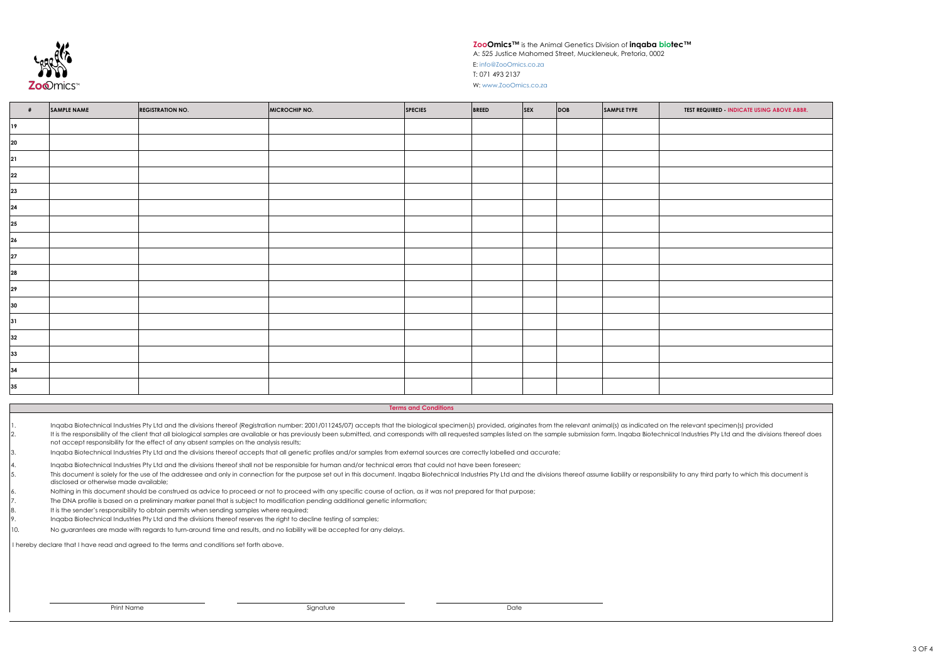## **ZooOmics™** is the Animal Genetics Division of **inqaba biotec™**

A: 525 Justice Mahomed Street, Muckleneuk, Pretoria, 0002



W: www.ZooOmics.co.za

d, originates from the relevant animal(s) as indicated on the relevant specimen(s) provided es listed on the sample submission form. Inqaba Biotechnical Industries Pty Ltd and the divisions thereof does

I hereby declare that I have read and agreed to the terms and conditions set forth above.

|          | Ingaba Biotechnical Industries Pty Ltd and the divisions thereof (Registration number: 2001/011245/07) accepts that the biological specimen(s) provided      |
|----------|--------------------------------------------------------------------------------------------------------------------------------------------------------------|
| <b>.</b> | It is the responsibility of the client that all biological samples are available or has previously been submitted, and corresponds with all requested sample |
|          | not accept responsibility for the effect of any absent samples on the analysis results;                                                                      |

3. Inqaba Biotechnical Industries Pty Ltd and the divisions thereof accepts that all genetic profiles and/or samples from external sources are correctly labelled and accurate;

| - #    | SAMPLE NAME | <b>REGISTRATION NO.</b> | MICROCHIP NO. | SPECIES | <b>BREED</b> | $ $ SEX | DOB | SAMPLE TYPE | <b>TEST REQUIRED INDICATE USING ABOVE ABBR.</b> |
|--------|-------------|-------------------------|---------------|---------|--------------|---------|-----|-------------|-------------------------------------------------|
| 19     |             |                         |               |         |              |         |     |             |                                                 |
| $20\,$ |             |                         |               |         |              |         |     |             |                                                 |
| 21     |             |                         |               |         |              |         |     |             |                                                 |
| 22     |             |                         |               |         |              |         |     |             |                                                 |
| 23     |             |                         |               |         |              |         |     |             |                                                 |
| 24     |             |                         |               |         |              |         |     |             |                                                 |
| 25     |             |                         |               |         |              |         |     |             |                                                 |
| 26     |             |                         |               |         |              |         |     |             |                                                 |
| 27     |             |                         |               |         |              |         |     |             |                                                 |
| 28     |             |                         |               |         |              |         |     |             |                                                 |
| 29     |             |                         |               |         |              |         |     |             |                                                 |
| 30     |             |                         |               |         |              |         |     |             |                                                 |
| 31     |             |                         |               |         |              |         |     |             |                                                 |
| 32     |             |                         |               |         |              |         |     |             |                                                 |
| 33     |             |                         |               |         |              |         |     |             |                                                 |
| 34     |             |                         |               |         |              |         |     |             |                                                 |
| 35     |             |                         |               |         |              |         |     |             |                                                 |
|        |             |                         |               |         |              |         |     |             |                                                 |

- 4. 5. Inqaba Biotechnical Industries Pty Ltd and the divisions thereof shall not be responsible for human and/or technical errors that could not have been foreseen; This document is solely for the use of the addressee and only in connection for the purpose set out in this document. Inqaba Biotechnical Industries Pty Ltd and the divisions thereof assume liability or responsibility to a disclosed or otherwise made available;
- 6. Nothing in this document should be construed as advice to proceed or not to proceed with any specific course of action, as it was not prepared for that purpose;
- 7. The DNA profile is based on a preliminary marker panel that is subject to modification pending additional genetic information;
- 8. It is the sender's responsibility to obtain permits when sending samples where required;
- 9. Inqaba Biotechnical Industries Pty Ltd and the divisions thereof reserves the right to decline testing of samples;
- 10. No guarantees are made with regards to turn-around time and results, and no liability will be accepted for any delays.

**Terms and Conditions**